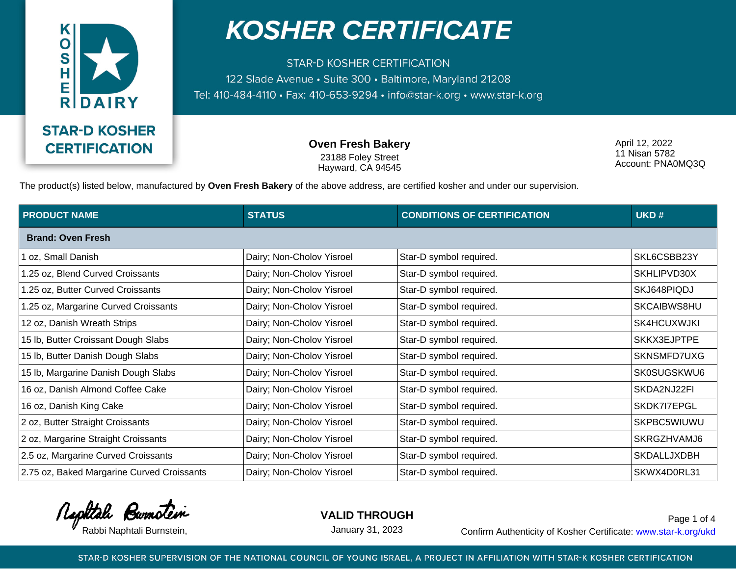

**STAR-D KOSHER CERTIFICATION** 122 Slade Avenue · Suite 300 · Baltimore, Maryland 21208 Tel: 410-484-4110 · Fax: 410-653-9294 · info@star-k.org · www.star-k.org

> **Oven Fresh Bakery** 23188 Foley Street Hayward, CA 94545

April 12, 2022 11 Nisan 5782 Account: PNA0MQ3Q

The product(s) listed below, manufactured by **Oven Fresh Bakery** of the above address, are certified kosher and under our supervision.

| <b>PRODUCT NAME</b>                        | <b>STATUS</b>             | <b>CONDITIONS OF CERTIFICATION</b> | UKD#        |  |  |
|--------------------------------------------|---------------------------|------------------------------------|-------------|--|--|
| <b>Brand: Oven Fresh</b>                   |                           |                                    |             |  |  |
| oz, Small Danish                           | Dairy; Non-Cholov Yisroel | Star-D symbol required.            | SKL6CSBB23Y |  |  |
| 1.25 oz, Blend Curved Croissants           | Dairy; Non-Cholov Yisroel | Star-D symbol required.            | SKHLIPVD30X |  |  |
| 1.25 oz, Butter Curved Croissants          | Dairy; Non-Cholov Yisroel | Star-D symbol required.            | SKJ648PIQDJ |  |  |
| 1.25 oz, Margarine Curved Croissants       | Dairy; Non-Cholov Yisroel | Star-D symbol required.            | SKCAIBWS8HU |  |  |
| 12 oz, Danish Wreath Strips                | Dairy; Non-Cholov Yisroel | Star-D symbol required.            | SK4HCUXWJKI |  |  |
| 15 lb, Butter Croissant Dough Slabs        | Dairy; Non-Cholov Yisroel | Star-D symbol required.            | SKKX3EJPTPE |  |  |
| 15 lb, Butter Danish Dough Slabs           | Dairy; Non-Cholov Yisroel | Star-D symbol required.            | SKNSMFD7UXG |  |  |
| 15 lb, Margarine Danish Dough Slabs        | Dairy; Non-Cholov Yisroel | Star-D symbol required.            | SK0SUGSKWU6 |  |  |
| 16 oz, Danish Almond Coffee Cake           | Dairy; Non-Cholov Yisroel | Star-D symbol required.            | SKDA2NJ22FI |  |  |
| 16 oz, Danish King Cake                    | Dairy; Non-Cholov Yisroel | Star-D symbol required.            | SKDK7I7EPGL |  |  |
| 2 oz, Butter Straight Croissants           | Dairy; Non-Cholov Yisroel | Star-D symbol required.            | SKPBC5WIUWU |  |  |
| 2 oz, Margarine Straight Croissants        | Dairy; Non-Cholov Yisroel | Star-D symbol required.            | SKRGZHVAMJ6 |  |  |
| 2.5 oz, Margarine Curved Croissants        | Dairy; Non-Cholov Yisroel | Star-D symbol required.            | SKDALLJXDBH |  |  |
| 2.75 oz, Baked Margarine Curved Croissants | Dairy; Non-Cholov Yisroel | Star-D symbol required.            | SKWX4D0RL31 |  |  |

Rephtale Burnotein

**VALID THROUGH**

January 31, 2023

Rabbi Naphtali Burnstein, Theorem 2003 Lanuary 31, 2023 Confirm Authenticity of Kosher Certificate: www.star-k.org/ukd Page 1 of 4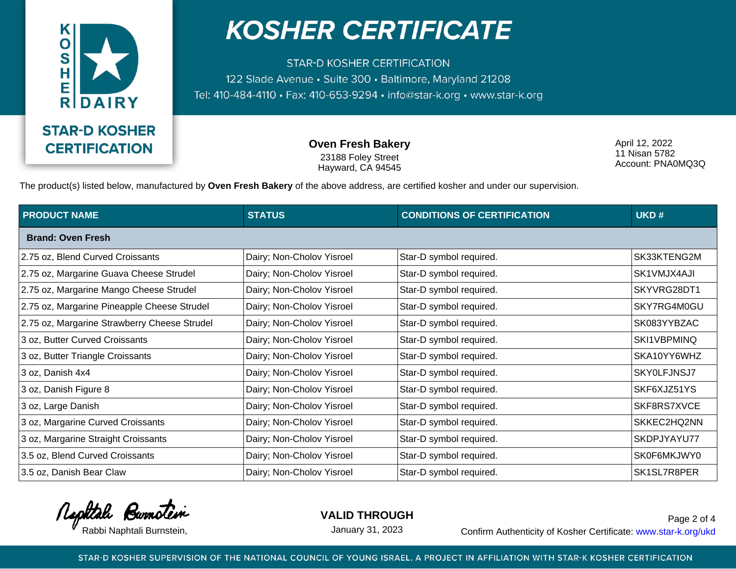

**STAR-D KOSHER CERTIFICATION** 122 Slade Avenue · Suite 300 · Baltimore, Maryland 21208 Tel: 410-484-4110 · Fax: 410-653-9294 · info@star-k.org · www.star-k.org

> **Oven Fresh Bakery** 23188 Foley Street Hayward, CA 94545

April 12, 2022 11 Nisan 5782 Account: PNA0MQ3Q

The product(s) listed below, manufactured by **Oven Fresh Bakery** of the above address, are certified kosher and under our supervision.

| <b>PRODUCT NAME</b>                          | <b>STATUS</b>             | <b>CONDITIONS OF CERTIFICATION</b> | UKD#        |  |  |
|----------------------------------------------|---------------------------|------------------------------------|-------------|--|--|
| <b>Brand: Oven Fresh</b>                     |                           |                                    |             |  |  |
| 2.75 oz, Blend Curved Croissants             | Dairy; Non-Cholov Yisroel | Star-D symbol required.            | SK33KTENG2M |  |  |
| 2.75 oz, Margarine Guava Cheese Strudel      | Dairy; Non-Cholov Yisroel | Star-D symbol required.            | SK1VMJX4AJI |  |  |
| 2.75 oz, Margarine Mango Cheese Strudel      | Dairy; Non-Cholov Yisroel | Star-D symbol required.            | SKYVRG28DT1 |  |  |
| 2.75 oz, Margarine Pineapple Cheese Strudel  | Dairy; Non-Cholov Yisroel | Star-D symbol required.            | SKY7RG4M0GU |  |  |
| 2.75 oz, Margarine Strawberry Cheese Strudel | Dairy; Non-Cholov Yisroel | Star-D symbol required.            | SK083YYBZAC |  |  |
| 3 oz, Butter Curved Croissants               | Dairy; Non-Cholov Yisroel | Star-D symbol required.            | SKI1VBPMINQ |  |  |
| 3 oz, Butter Triangle Croissants             | Dairy; Non-Cholov Yisroel | Star-D symbol required.            | SKA10YY6WHZ |  |  |
| 3 oz, Danish 4x4                             | Dairy; Non-Cholov Yisroel | Star-D symbol required.            | SKY0LFJNSJ7 |  |  |
| 3 oz, Danish Figure 8                        | Dairy; Non-Cholov Yisroel | Star-D symbol required.            | SKF6XJZ51YS |  |  |
| 3 oz, Large Danish                           | Dairy; Non-Cholov Yisroel | Star-D symbol required.            | SKF8RS7XVCE |  |  |
| 3 oz, Margarine Curved Croissants            | Dairy; Non-Cholov Yisroel | Star-D symbol required.            | SKKEC2HQ2NN |  |  |
| 3 oz, Margarine Straight Croissants          | Dairy; Non-Cholov Yisroel | Star-D symbol required.            | SKDPJYAYU77 |  |  |
| 3.5 oz, Blend Curved Croissants              | Dairy; Non-Cholov Yisroel | Star-D symbol required.            | SK0F6MKJWY0 |  |  |
| 3.5 oz, Danish Bear Claw                     | Dairy; Non-Cholov Yisroel | Star-D symbol required.            | SK1SL7R8PER |  |  |

Rephtale Burnotein

**VALID THROUGH**

January 31, 2023

Rabbi Naphtali Burnstein, Theorem 2003 Lanuary 31, 2023 Confirm Authenticity of Kosher Certificate: www.star-k.org/ukd Page 2 of 4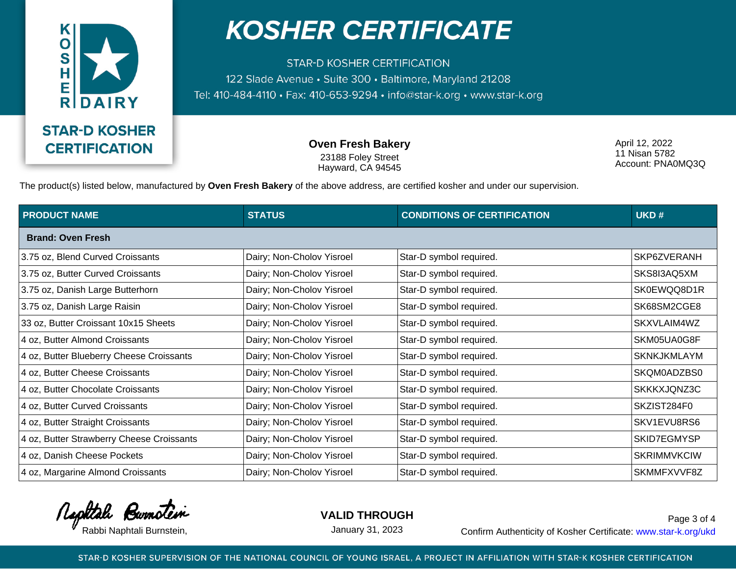

**STAR-D KOSHER CERTIFICATION** 122 Slade Avenue · Suite 300 · Baltimore, Maryland 21208 Tel: 410-484-4110 · Fax: 410-653-9294 · info@star-k.org · www.star-k.org

> **Oven Fresh Bakery** 23188 Foley Street Hayward, CA 94545

April 12, 2022 11 Nisan 5782 Account: PNA0MQ3Q

The product(s) listed below, manufactured by **Oven Fresh Bakery** of the above address, are certified kosher and under our supervision.

| <b>PRODUCT NAME</b>                       | <b>STATUS</b>             | <b>CONDITIONS OF CERTIFICATION</b> | UKD#               |  |  |
|-------------------------------------------|---------------------------|------------------------------------|--------------------|--|--|
| <b>Brand: Oven Fresh</b>                  |                           |                                    |                    |  |  |
| 3.75 oz, Blend Curved Croissants          | Dairy; Non-Cholov Yisroel | Star-D symbol required.            | SKP6ZVERANH        |  |  |
| 3.75 oz, Butter Curved Croissants         | Dairy; Non-Cholov Yisroel | Star-D symbol required.            | SKS8I3AQ5XM        |  |  |
| 3.75 oz, Danish Large Butterhorn          | Dairy; Non-Cholov Yisroel | Star-D symbol required.            | SK0EWQQ8D1R        |  |  |
| 3.75 oz, Danish Large Raisin              | Dairy; Non-Cholov Yisroel | Star-D symbol required.            | SK68SM2CGE8        |  |  |
| 33 oz, Butter Croissant 10x15 Sheets      | Dairy; Non-Cholov Yisroel | Star-D symbol required.            | SKXVLAIM4WZ        |  |  |
| 4 oz, Butter Almond Croissants            | Dairy; Non-Cholov Yisroel | Star-D symbol required.            | SKM05UA0G8F        |  |  |
| 4 oz, Butter Blueberry Cheese Croissants  | Dairy; Non-Cholov Yisroel | Star-D symbol required.            | <b>SKNKJKMLAYM</b> |  |  |
| 4 oz, Butter Cheese Croissants            | Dairy; Non-Cholov Yisroel | Star-D symbol required.            | SKQM0ADZBS0        |  |  |
| 4 oz, Butter Chocolate Croissants         | Dairy; Non-Cholov Yisroel | Star-D symbol required.            | SKKKXJQNZ3C        |  |  |
| 4 oz, Butter Curved Croissants            | Dairy; Non-Cholov Yisroel | Star-D symbol required.            | SKZIST284F0        |  |  |
| 4 oz, Butter Straight Croissants          | Dairy; Non-Cholov Yisroel | Star-D symbol required.            | SKV1EVU8RS6        |  |  |
| 4 oz, Butter Strawberry Cheese Croissants | Dairy; Non-Cholov Yisroel | Star-D symbol required.            | SKID7EGMYSP        |  |  |
| 4 oz, Danish Cheese Pockets               | Dairy; Non-Cholov Yisroel | Star-D symbol required.            | <b>SKRIMMVKCIW</b> |  |  |
| 4 oz, Margarine Almond Croissants         | Dairy; Non-Cholov Yisroel | Star-D symbol required.            | SKMMFXVVF8Z        |  |  |

Rephtale Burnotein

**VALID THROUGH**

January 31, 2023

Rabbi Naphtali Burnstein, Theorem 2003 Lanuary 31, 2023 Confirm Authenticity of Kosher Certificate: www.star-k.org/ukd Page 3 of 4